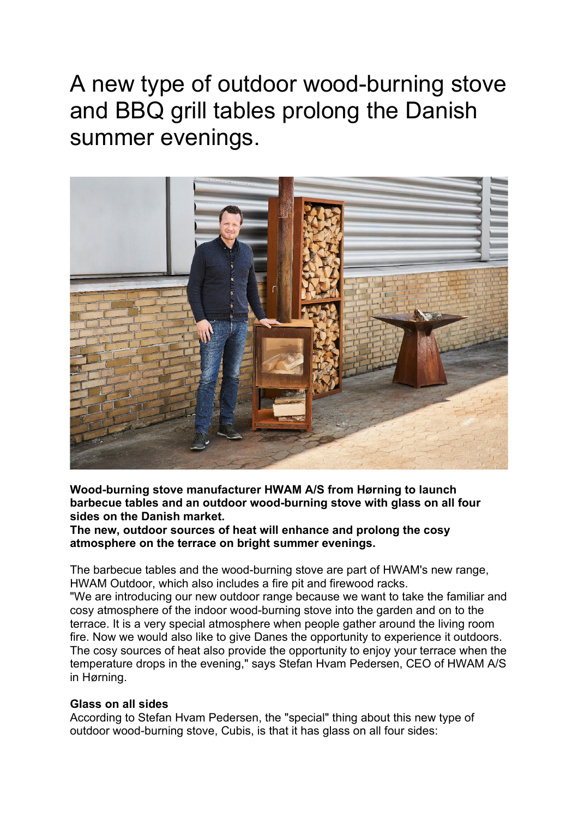A new type of outdoor wood-burning stove and BBQ grill tables prolong the Danish summer evenings.



**Wood-burning stove manufacturer HWAM A/S from Hørning to launch barbecue tables and an outdoor wood-burning stove with glass on all four sides on the Danish market.**

**The new, outdoor sources of heat will enhance and prolong the cosy atmosphere on the terrace on bright summer evenings.**

The barbecue tables and the wood-burning stove are part of HWAM's new range, HWAM Outdoor, which also includes a fire pit and firewood racks.

"We are introducing our new outdoor range because we want to take the familiar and cosy atmosphere of the indoor wood-burning stove into the garden and on to the terrace. It is a very special atmosphere when people gather around the living room fire. Now we would also like to give Danes the opportunity to experience it outdoors. The cosy sources of heat also provide the opportunity to enjoy your terrace when the temperature drops in the evening," says Stefan Hvam Pedersen, CEO of HWAM A/S in Hørning.

## **Glass on all sides**

According to Stefan Hvam Pedersen, the "special" thing about this new type of outdoor wood-burning stove, Cubis, is that it has glass on all four sides: